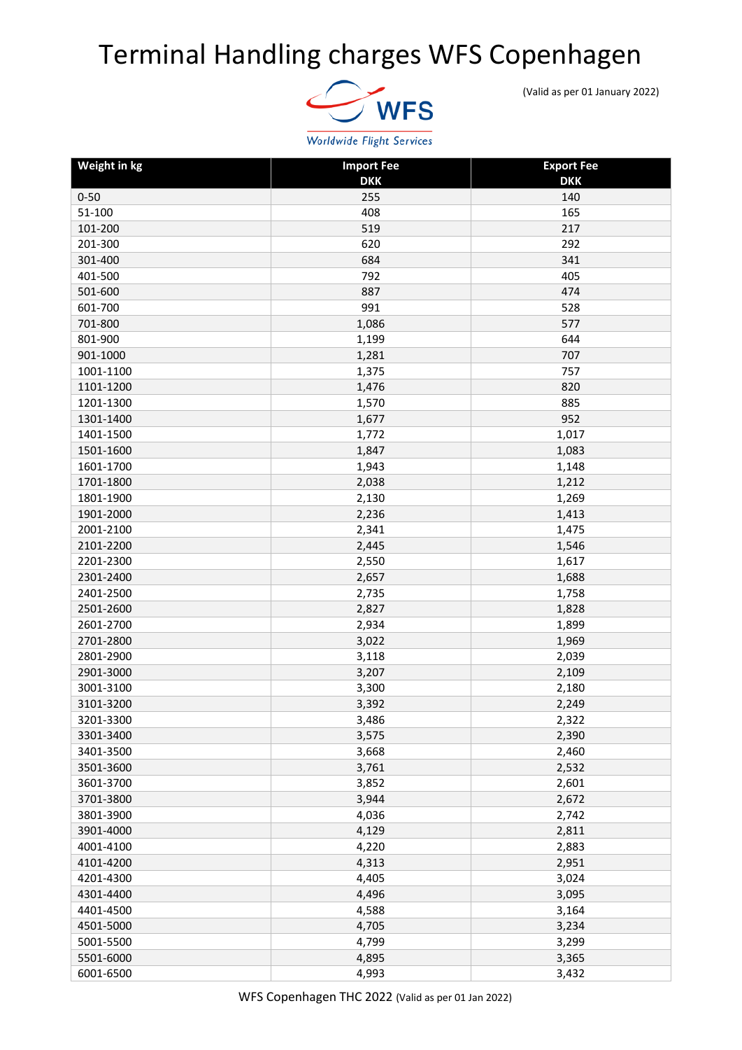## Terminal Handling charges WFS Copenhagen



(Valid as per 01 January 2022)

| Weight in kg | <b>Import Fee</b> | <b>Export Fee</b> |
|--------------|-------------------|-------------------|
|              | <b>DKK</b>        | <b>DKK</b>        |
| $0 - 50$     | 255               | 140               |
| 51-100       | 408               | 165               |
| 101-200      | 519               | 217               |
| 201-300      | 620               | 292               |
| 301-400      | 684               | 341               |
| 401-500      | 792               | 405               |
| 501-600      | 887               | 474               |
| 601-700      | 991               | 528               |
| 701-800      | 1,086             | 577               |
| 801-900      | 1,199             | 644               |
| 901-1000     | 1,281             | 707               |
| 1001-1100    | 1,375             | 757               |
| 1101-1200    | 1,476             | 820               |
| 1201-1300    | 1,570             | 885               |
| 1301-1400    | 1,677             | 952               |
| 1401-1500    | 1,772             | 1,017             |
| 1501-1600    | 1,847             | 1,083             |
| 1601-1700    | 1,943             | 1,148             |
| 1701-1800    | 2,038             | 1,212             |
| 1801-1900    | 2,130             | 1,269             |
| 1901-2000    | 2,236             | 1,413             |
| 2001-2100    | 2,341             | 1,475             |
| 2101-2200    | 2,445             | 1,546             |
| 2201-2300    | 2,550             | 1,617             |
| 2301-2400    | 2,657             | 1,688             |
| 2401-2500    | 2,735             | 1,758             |
| 2501-2600    | 2,827             | 1,828             |
| 2601-2700    | 2,934             | 1,899             |
| 2701-2800    | 3,022             | 1,969             |
| 2801-2900    | 3,118             | 2,039             |
| 2901-3000    | 3,207             | 2,109             |
| 3001-3100    | 3,300             | 2,180             |
| 3101-3200    | 3,392             | 2,249             |
| 3201-3300    | 3,486             | 2,322             |
| 3301-3400    | 3,575             | 2,390             |
| 3401-3500    | 3,668             | 2,460             |
| 3501-3600    | 3,761             | 2,532             |
| 3601-3700    | 3,852             | 2,601             |
| 3701-3800    | 3,944             | 2,672             |
| 3801-3900    | 4,036             | 2,742             |
| 3901-4000    | 4,129             | 2,811             |
| 4001-4100    | 4,220             | 2,883             |
| 4101-4200    | 4,313             | 2,951             |
| 4201-4300    | 4,405             | 3,024             |
| 4301-4400    | 4,496             | 3,095             |
| 4401-4500    | 4,588             | 3,164             |
| 4501-5000    | 4,705             | 3,234             |
| 5001-5500    | 4,799             | 3,299             |
| 5501-6000    | 4,895             | 3,365             |
|              |                   |                   |
| 6001-6500    | 4,993             | 3,432             |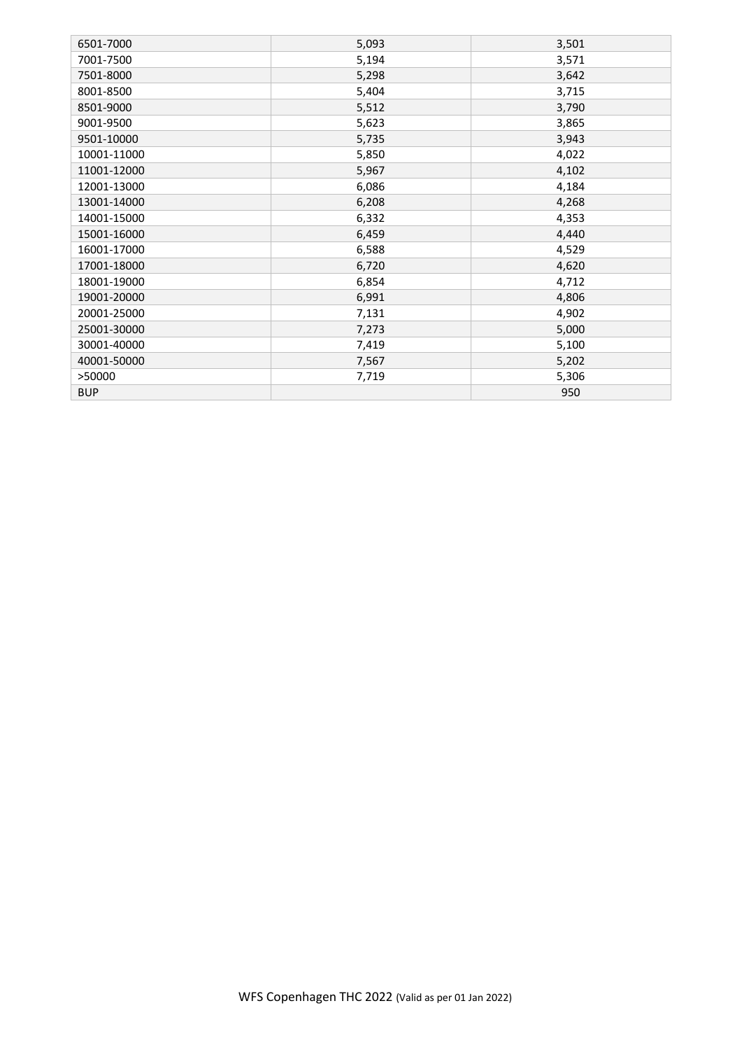| 6501-7000   | 5,093 | 3,501 |
|-------------|-------|-------|
| 7001-7500   | 5,194 | 3,571 |
| 7501-8000   | 5,298 | 3,642 |
| 8001-8500   | 5,404 | 3,715 |
| 8501-9000   | 5,512 | 3,790 |
| 9001-9500   | 5,623 | 3,865 |
| 9501-10000  | 5,735 | 3,943 |
| 10001-11000 | 5,850 | 4,022 |
| 11001-12000 | 5,967 | 4,102 |
| 12001-13000 | 6,086 | 4,184 |
| 13001-14000 | 6,208 | 4,268 |
| 14001-15000 | 6,332 | 4,353 |
| 15001-16000 | 6,459 | 4,440 |
| 16001-17000 | 6,588 | 4,529 |
| 17001-18000 | 6,720 | 4,620 |
| 18001-19000 | 6,854 | 4,712 |
| 19001-20000 | 6,991 | 4,806 |
| 20001-25000 | 7,131 | 4,902 |
| 25001-30000 | 7,273 | 5,000 |
| 30001-40000 | 7,419 | 5,100 |
| 40001-50000 | 7,567 | 5,202 |
| >50000      | 7,719 | 5,306 |
| <b>BUP</b>  |       | 950   |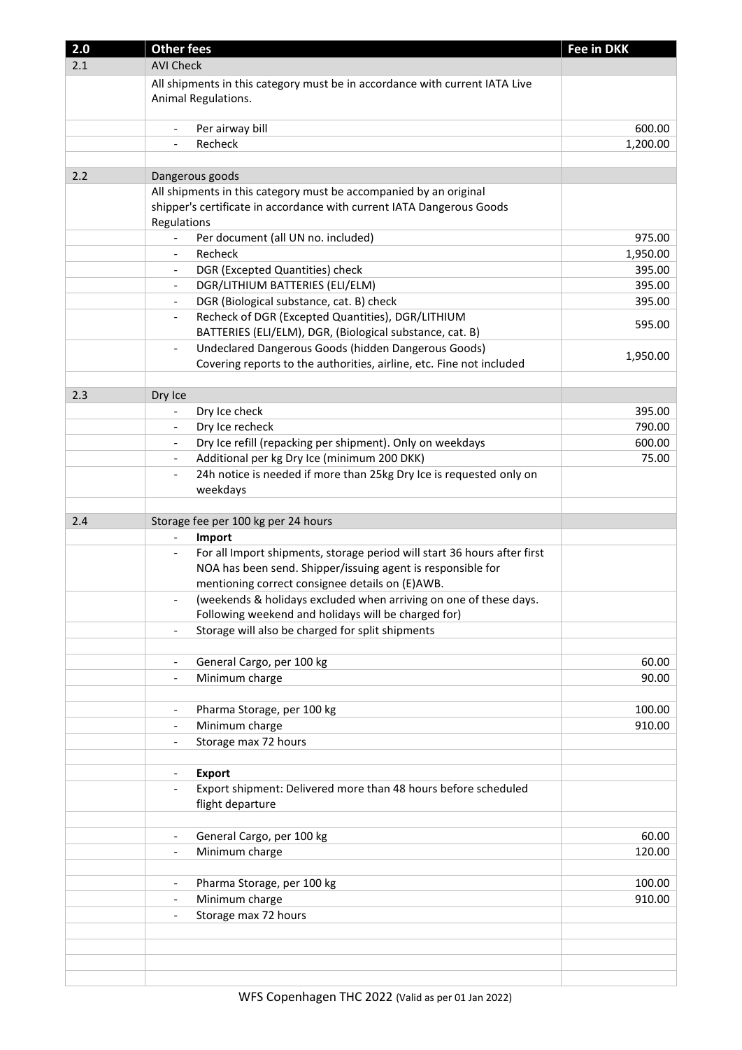| 2.0 | <b>Other fees</b>                                                                                   | <b>Fee in DKK</b> |
|-----|-----------------------------------------------------------------------------------------------------|-------------------|
| 2.1 | <b>AVI Check</b>                                                                                    |                   |
|     | All shipments in this category must be in accordance with current IATA Live                         |                   |
|     | Animal Regulations.                                                                                 |                   |
|     |                                                                                                     |                   |
|     | Per airway bill                                                                                     | 600.00            |
|     | Recheck                                                                                             | 1,200.00          |
|     |                                                                                                     |                   |
| 2.2 | Dangerous goods                                                                                     |                   |
|     | All shipments in this category must be accompanied by an original                                   |                   |
|     | shipper's certificate in accordance with current IATA Dangerous Goods                               |                   |
|     | Regulations                                                                                         |                   |
|     | Per document (all UN no. included)                                                                  | 975.00            |
|     | Recheck                                                                                             | 1,950.00          |
|     | DGR (Excepted Quantities) check<br>$\overline{\phantom{0}}$                                         | 395.00            |
|     | DGR/LITHIUM BATTERIES (ELI/ELM)<br>$\qquad \qquad \blacksquare$                                     | 395.00            |
|     | DGR (Biological substance, cat. B) check<br>$\overline{\phantom{a}}$                                | 395.00            |
|     | Recheck of DGR (Excepted Quantities), DGR/LITHIUM<br>$\overline{\phantom{a}}$                       |                   |
|     | BATTERIES (ELI/ELM), DGR, (Biological substance, cat. B)                                            | 595.00            |
|     | Undeclared Dangerous Goods (hidden Dangerous Goods)<br>$\overline{\phantom{a}}$                     |                   |
|     | Covering reports to the authorities, airline, etc. Fine not included                                | 1,950.00          |
|     |                                                                                                     |                   |
| 2.3 | Dry Ice                                                                                             |                   |
|     | Dry Ice check                                                                                       | 395.00            |
|     | Dry Ice recheck<br>$\frac{1}{2}$                                                                    | 790.00            |
|     |                                                                                                     |                   |
|     | Dry Ice refill (repacking per shipment). Only on weekdays<br>$\qquad \qquad \blacksquare$           | 600.00            |
|     | Additional per kg Dry Ice (minimum 200 DKK)<br>$\overline{\phantom{a}}$                             | 75.00             |
|     | 24h notice is needed if more than 25kg Dry Ice is requested only on<br>$\qquad \qquad \blacksquare$ |                   |
|     | weekdays                                                                                            |                   |
|     |                                                                                                     |                   |
|     |                                                                                                     |                   |
| 2.4 | Storage fee per 100 kg per 24 hours                                                                 |                   |
|     | Import<br>$\overline{\phantom{a}}$                                                                  |                   |
|     | For all Import shipments, storage period will start 36 hours after first                            |                   |
|     | NOA has been send. Shipper/issuing agent is responsible for                                         |                   |
|     | mentioning correct consignee details on (E)AWB.                                                     |                   |
|     | (weekends & holidays excluded when arriving on one of these days.                                   |                   |
|     | Following weekend and holidays will be charged for)                                                 |                   |
|     | Storage will also be charged for split shipments                                                    |                   |
|     |                                                                                                     |                   |
|     | General Cargo, per 100 kg<br>$\overline{\phantom{a}}$                                               | 60.00             |
|     | Minimum charge<br>$\overline{\phantom{a}}$                                                          | 90.00             |
|     |                                                                                                     |                   |
|     | Pharma Storage, per 100 kg<br>$\overline{\phantom{a}}$                                              | 100.00            |
|     | Minimum charge<br>$\overline{\phantom{a}}$                                                          | 910.00            |
|     | Storage max 72 hours<br>$\overline{\phantom{a}}$                                                    |                   |
|     |                                                                                                     |                   |
|     | <b>Export</b><br>$\overline{\phantom{0}}$                                                           |                   |
|     | Export shipment: Delivered more than 48 hours before scheduled<br>$\overline{\phantom{0}}$          |                   |
|     | flight departure                                                                                    |                   |
|     |                                                                                                     |                   |
|     | General Cargo, per 100 kg<br>$\overline{\phantom{a}}$                                               | 60.00             |
|     | Minimum charge<br>$\qquad \qquad \blacksquare$                                                      | 120.00            |
|     |                                                                                                     |                   |
|     | Pharma Storage, per 100 kg<br>$\overline{\phantom{a}}$                                              | 100.00            |
|     | Minimum charge<br>$\overline{\phantom{a}}$                                                          | 910.00            |
|     | Storage max 72 hours<br>$\qquad \qquad \blacksquare$                                                |                   |
|     |                                                                                                     |                   |
|     |                                                                                                     |                   |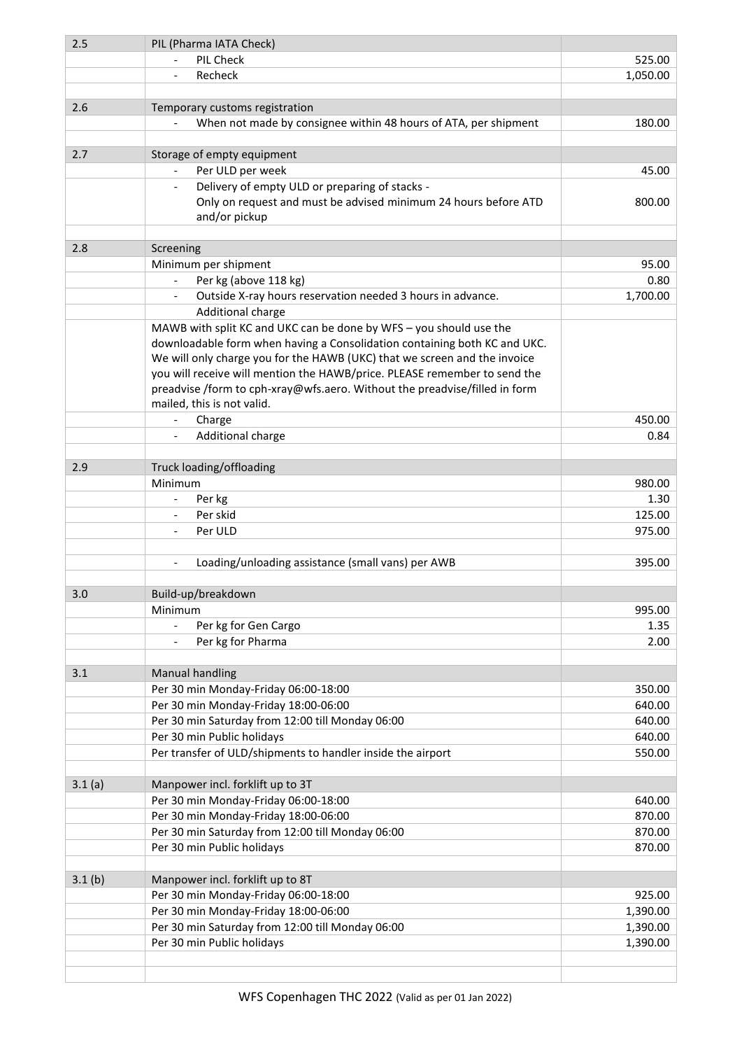| 2.5    | PIL (Pharma IATA Check)                                                       |          |
|--------|-------------------------------------------------------------------------------|----------|
|        | PIL Check                                                                     | 525.00   |
|        | Recheck                                                                       | 1,050.00 |
|        |                                                                               |          |
| 2.6    | Temporary customs registration                                                |          |
|        | When not made by consignee within 48 hours of ATA, per shipment               | 180.00   |
|        |                                                                               |          |
| 2.7    | Storage of empty equipment                                                    |          |
|        | Per ULD per week                                                              | 45.00    |
|        | Delivery of empty ULD or preparing of stacks -                                |          |
|        | Only on request and must be advised minimum 24 hours before ATD               | 800.00   |
|        | and/or pickup                                                                 |          |
|        |                                                                               |          |
| 2.8    | Screening                                                                     |          |
|        | Minimum per shipment                                                          | 95.00    |
|        | Per kg (above 118 kg)<br>$\overline{\phantom{a}}$                             | 0.80     |
|        | Outside X-ray hours reservation needed 3 hours in advance.<br>$\blacksquare$  | 1,700.00 |
|        | Additional charge                                                             |          |
|        | MAWB with split KC and UKC can be done by WFS - you should use the            |          |
|        | downloadable form when having a Consolidation containing both KC and UKC.     |          |
|        | We will only charge you for the HAWB (UKC) that we screen and the invoice     |          |
|        | you will receive will mention the HAWB/price. PLEASE remember to send the     |          |
|        | preadvise /form to cph-xray@wfs.aero. Without the preadvise/filled in form    |          |
|        | mailed, this is not valid.                                                    |          |
|        | Charge                                                                        | 450.00   |
|        |                                                                               |          |
|        | Additional charge                                                             | 0.84     |
|        |                                                                               |          |
| 2.9    | Truck loading/offloading                                                      |          |
|        | Minimum                                                                       | 980.00   |
|        | Per kg                                                                        | 1.30     |
|        | Per skid                                                                      | 125.00   |
|        | Per ULD                                                                       | 975.00   |
|        |                                                                               |          |
|        | Loading/unloading assistance (small vans) per AWB<br>$\overline{\phantom{a}}$ | 395.00   |
|        |                                                                               |          |
| 3.0    | Build-up/breakdown                                                            |          |
|        | Minimum                                                                       | 995.00   |
|        | Per kg for Gen Cargo                                                          | 1.35     |
|        | Per kg for Pharma                                                             | 2.00     |
|        |                                                                               |          |
| 3.1    | <b>Manual handling</b>                                                        |          |
|        | Per 30 min Monday-Friday 06:00-18:00                                          | 350.00   |
|        | Per 30 min Monday-Friday 18:00-06:00                                          | 640.00   |
|        | Per 30 min Saturday from 12:00 till Monday 06:00                              | 640.00   |
|        | Per 30 min Public holidays                                                    | 640.00   |
|        | Per transfer of ULD/shipments to handler inside the airport                   | 550.00   |
|        |                                                                               |          |
| 3.1(a) | Manpower incl. forklift up to 3T                                              |          |
|        | Per 30 min Monday-Friday 06:00-18:00                                          | 640.00   |
|        | Per 30 min Monday-Friday 18:00-06:00                                          | 870.00   |
|        | Per 30 min Saturday from 12:00 till Monday 06:00                              | 870.00   |
|        | Per 30 min Public holidays                                                    | 870.00   |
|        |                                                                               |          |
| 3.1(b) | Manpower incl. forklift up to 8T                                              |          |
|        | Per 30 min Monday-Friday 06:00-18:00                                          | 925.00   |
|        | Per 30 min Monday-Friday 18:00-06:00                                          | 1,390.00 |
|        | Per 30 min Saturday from 12:00 till Monday 06:00                              | 1,390.00 |
|        | Per 30 min Public holidays                                                    | 1,390.00 |
|        |                                                                               |          |
|        |                                                                               |          |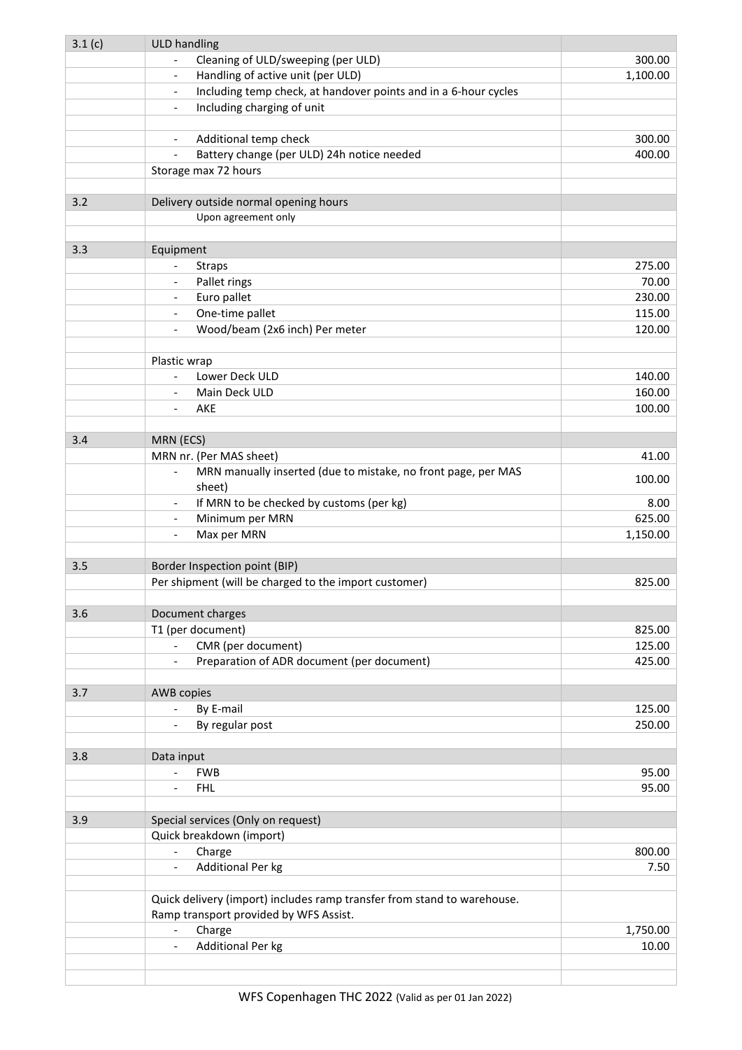| 3.1(c) | <b>ULD handling</b>                                                                         |          |
|--------|---------------------------------------------------------------------------------------------|----------|
|        | Cleaning of ULD/sweeping (per ULD)                                                          | 300.00   |
|        | Handling of active unit (per ULD)<br>$\overline{\phantom{a}}$                               | 1,100.00 |
|        | Including temp check, at handover points and in a 6-hour cycles<br>$\overline{\phantom{a}}$ |          |
|        | Including charging of unit<br>$\overline{\phantom{a}}$                                      |          |
|        |                                                                                             |          |
|        | Additional temp check                                                                       | 300.00   |
|        | Battery change (per ULD) 24h notice needed<br>$\overline{\phantom{a}}$                      | 400.00   |
|        | Storage max 72 hours                                                                        |          |
|        |                                                                                             |          |
| 3.2    | Delivery outside normal opening hours                                                       |          |
|        | Upon agreement only                                                                         |          |
|        |                                                                                             |          |
| 3.3    | Equipment                                                                                   |          |
|        | <b>Straps</b>                                                                               | 275.00   |
|        | Pallet rings<br>$\overline{\phantom{a}}$                                                    | 70.00    |
|        | Euro pallet<br>$\overline{\phantom{a}}$                                                     | 230.00   |
|        | One-time pallet<br>$\overline{\phantom{a}}$                                                 | 115.00   |
|        | Wood/beam (2x6 inch) Per meter<br>$\overline{\phantom{a}}$                                  | 120.00   |
|        |                                                                                             |          |
|        | Plastic wrap                                                                                |          |
|        | Lower Deck ULD<br>$\blacksquare$                                                            | 140.00   |
|        | Main Deck ULD<br>$\overline{\phantom{a}}$                                                   | 160.00   |
|        | AKE                                                                                         | 100.00   |
|        |                                                                                             |          |
| 3.4    | MRN (ECS)                                                                                   |          |
|        | MRN nr. (Per MAS sheet)                                                                     | 41.00    |
|        | MRN manually inserted (due to mistake, no front page, per MAS<br>$\overline{\phantom{a}}$   | 100.00   |
|        | sheet)<br>If MRN to be checked by customs (per kg)                                          | 8.00     |
|        | $\overline{\phantom{a}}$<br>Minimum per MRN<br>$\overline{\phantom{a}}$                     | 625.00   |
|        | Max per MRN<br>$\overline{\phantom{a}}$                                                     | 1,150.00 |
|        |                                                                                             |          |
| 3.5    | Border Inspection point (BIP)                                                               |          |
|        | Per shipment (will be charged to the import customer)                                       | 825.00   |
|        |                                                                                             |          |
| 3.6    | Document charges                                                                            |          |
|        | T1 (per document)                                                                           | 825.00   |
|        | CMR (per document)<br>$\omega_{\rm{max}}$                                                   | 125.00   |
|        | Preparation of ADR document (per document)<br>$\sim$                                        | 425.00   |
|        |                                                                                             |          |
| 3.7    | <b>AWB</b> copies                                                                           |          |
|        | By E-mail<br>$\overline{\phantom{a}}$                                                       | 125.00   |
|        | By regular post                                                                             | 250.00   |
|        |                                                                                             |          |
| 3.8    | Data input                                                                                  |          |
|        | <b>FWB</b><br>$\overline{\phantom{a}}$                                                      | 95.00    |
|        | $\omega_{\rm{max}}$<br><b>FHL</b>                                                           | 95.00    |
|        |                                                                                             |          |
| 3.9    | Special services (Only on request)                                                          |          |
|        | Quick breakdown (import)                                                                    |          |
|        | Charge<br>$\overline{\phantom{a}}$                                                          | 800.00   |
|        | Additional Per kg                                                                           | 7.50     |
|        |                                                                                             |          |
|        | Quick delivery (import) includes ramp transfer from stand to warehouse.                     |          |
|        | Ramp transport provided by WFS Assist.                                                      |          |
|        | Charge<br>$\blacksquare$                                                                    | 1,750.00 |
|        | Additional Per kg<br>$\overline{\phantom{a}}$                                               | 10.00    |
|        |                                                                                             |          |
|        |                                                                                             |          |